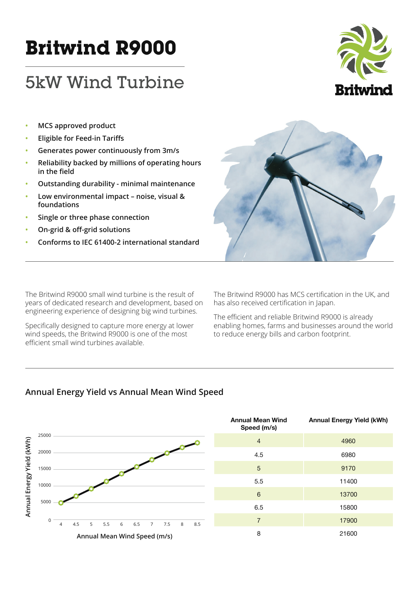# **Britwind R9000**

# 5kW Wind Turbine



- **• MCS approved product**
- **Eligible for Feed-in Tariffs**
- **Generates power continuously from 3m/s**
- **Reliability backed by millions of operating hours Labyring field**
- **Outstanding durability minimal maintenance**
- **Low environmental impact noise, visual & foundations**
- **Single or three phase connection**
- **On-grid & off-grid solutions**
- **Conforms to IEC 61400-2 international standard**

The Britwind R9000 small wind turbine is the result of years of dedicated research and development, based on engineering experience of designing big wind turbines.

Specifically designed to capture more energy at lower wind speeds, the Britwind R9000 is one of the most efficient small wind turbines available.

The Britwind R9000 has MCS certification in the UK, and has also received certification in Japan.

The efficient and reliable Britwind R9000 is already enabling homes, farms and businesses around the world to reduce energy bills and carbon footprint.

# Annual Energy Yield vs Annual Mean Wind Speed